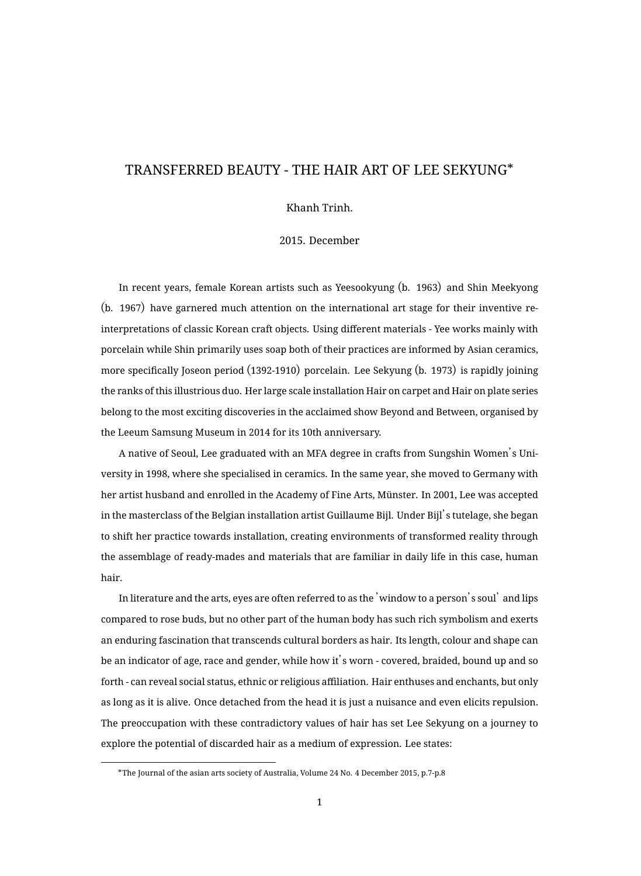## TRANSFERRED BEAUTY - THE HAIR ART OF LEE SEKYUNG\*

Khanh Trinh.

2015. December

In recent years, female Korean artists such as Yeesookyung (b. 1963) and Shin Meekyong (b. 1967) have garnered much attention on the international art stage for their inventive reinterpretations of classic Korean craft objects. Using different materials - Yee works mainly with porcelain while Shin primarily uses soap both of their practices are informed by Asian ceramics, more specifically Joseon period (1392-1910) porcelain. Lee Sekyung (b. 1973) is rapidly joining the ranks of this illustrious duo. Her large scale installation Hair on carpet and Hair on plate series belong to the most exciting discoveries in the acclaimed show Beyond and Between, organised by the Leeum Samsung Museum in 2014 for its 10th anniversary.

A native of Seoul, Lee graduated with an MFA degree in crafts from Sungshin Women's University in 1998, where she specialised in ceramics. In the same year, she moved to Germany with her artist husband and enrolled in the Academy of Fine Arts, Münster. In 2001, Lee was accepted in the masterclass of the Belgian installation artist Guillaume Bijl. Under Bijl's tutelage, she began to shift her practice towards installation, creating environments of transformed reality through the assemblage of ready-mades and materials that are familiar in daily life in this case, human hair.

In literature and the arts, eyes are often referred to as the 'window to a person's soul' and lips compared to rose buds, but no other part of the human body has such rich symbolism and exerts an enduring fascination that transcends cultural borders as hair. Its length, colour and shape can be an indicator of age, race and gender, while how it's worn - covered, braided, bound up and so forth - can reveal social status, ethnic or religious affiliation. Hair enthuses and enchants, but only as long as it is alive. Once detached from the head it is just a nuisance and even elicits repulsion. The preoccupation with these contradictory values of hair has set Lee Sekyung on a journey to explore the potential of discarded hair as a medium of expression. Lee states:

<sup>\*</sup>The Journal of the asian arts society of Australia, Volume 24 No. 4 December 2015, p.7-p.8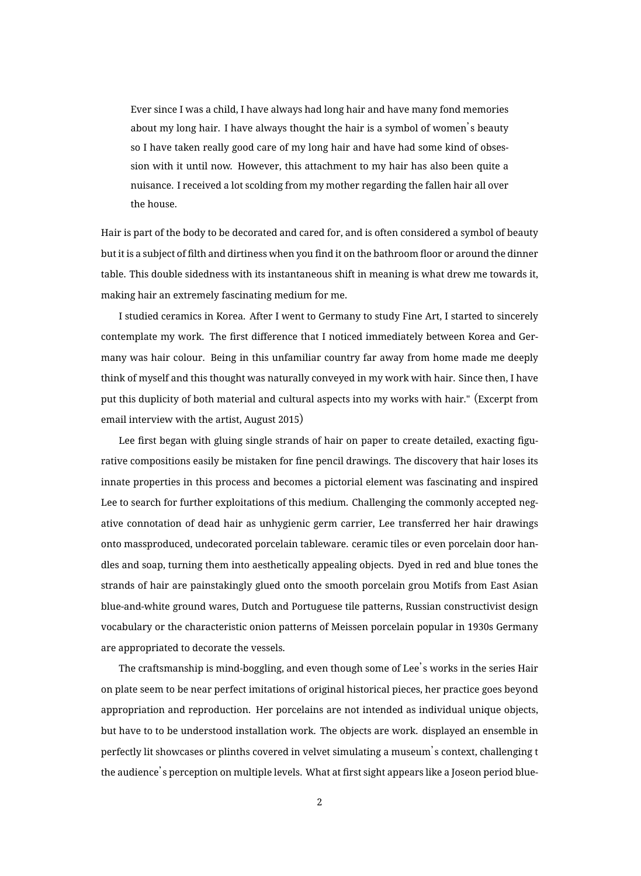Ever since I was a child, I have always had long hair and have many fond memories about my long hair. I have always thought the hair is a symbol of women's beauty so I have taken really good care of my long hair and have had some kind of obsession with it until now. However, this attachment to my hair has also been quite a nuisance. I received a lot scolding from my mother regarding the fallen hair all over the house.

Hair is part of the body to be decorated and cared for, and is often considered a symbol of beauty but it is a subject of filth and dirtiness when you find it on the bathroom floor or around the dinner table. This double sidedness with its instantaneous shift in meaning is what drew me towards it, making hair an extremely fascinating medium for me.

I studied ceramics in Korea. After I went to Germany to study Fine Art, I started to sincerely contemplate my work. The first difference that I noticed immediately between Korea and Germany was hair colour. Being in this unfamiliar country far away from home made me deeply think of myself and this thought was naturally conveyed in my work with hair. Since then, I have put this duplicity of both material and cultural aspects into my works with hair." (Excerpt from email interview with the artist, August 2015)

Lee first began with gluing single strands of hair on paper to create detailed, exacting figurative compositions easily be mistaken for fine pencil drawings. The discovery that hair loses its innate properties in this process and becomes a pictorial element was fascinating and inspired Lee to search for further exploitations of this medium. Challenging the commonly accepted negative connotation of dead hair as unhygienic germ carrier, Lee transferred her hair drawings onto massproduced, undecorated porcelain tableware. ceramic tiles or even porcelain door handles and soap, turning them into aesthetically appealing objects. Dyed in red and blue tones the strands of hair are painstakingly glued onto the smooth porcelain grou Motifs from East Asian blue-and-white ground wares, Dutch and Portuguese tile patterns, Russian constructivist design vocabulary or the characteristic onion patterns of Meissen porcelain popular in 1930s Germany are appropriated to decorate the vessels.

The craftsmanship is mind-boggling, and even though some of Lee's works in the series Hair on plate seem to be near perfect imitations of original historical pieces, her practice goes beyond appropriation and reproduction. Her porcelains are not intended as individual unique objects, but have to to be understood installation work. The objects are work. displayed an ensemble in perfectly lit showcases or plinths covered in velvet simulating a museum's context, challenging t the audience's perception on multiple levels. What at first sight appears like a Joseon period blue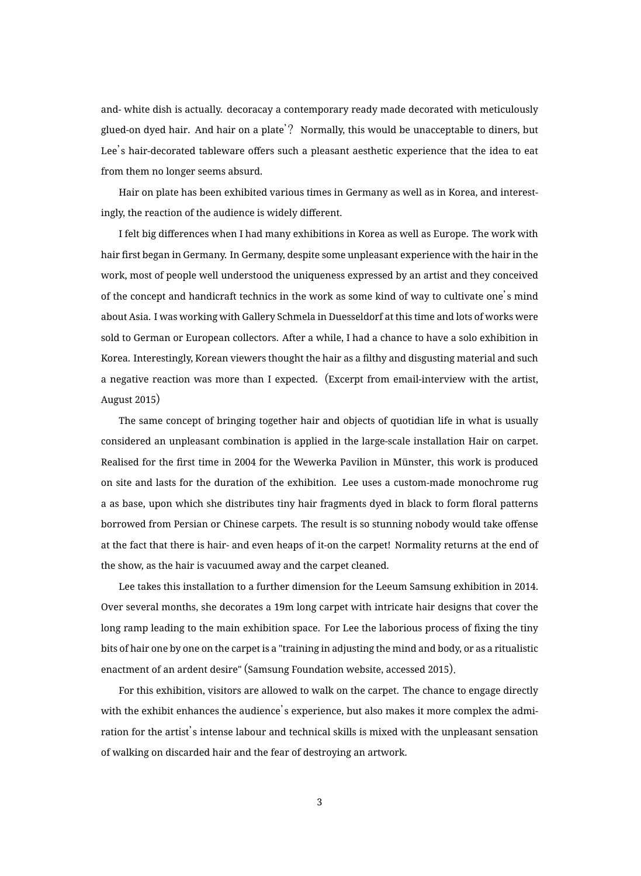and- white dish is actually. decoracay a contemporary ready made decorated with meticulously glued-on dyed hair. And hair on a plate'? Normally, this would be unacceptable to diners, but Lee's hair-decorated tableware offers such a pleasant aesthetic experience that the idea to eat from them no longer seems absurd.

Hair on plate has been exhibited various times in Germany as well as in Korea, and interestingly, the reaction of the audience is widely different.

I felt big differences when I had many exhibitions in Korea as well as Europe. The work with hair first began in Germany. In Germany, despite some unpleasant experience with the hair in the work, most of people well understood the uniqueness expressed by an artist and they conceived of the concept and handicraft technics in the work as some kind of way to cultivate one's mind about Asia. I was working with Gallery Schmela in Duesseldorf at this time and lots of works were sold to German or European collectors. After a while, I had a chance to have a solo exhibition in Korea. Interestingly, Korean viewers thought the hair as a filthy and disgusting material and such a negative reaction was more than I expected. (Excerpt from email-interview with the artist, August 2015)

The same concept of bringing together hair and objects of quotidian life in what is usually considered an unpleasant combination is applied in the large-scale installation Hair on carpet. Realised for the first time in 2004 for the Wewerka Pavilion in Münster, this work is produced on site and lasts for the duration of the exhibition. Lee uses a custom-made monochrome rug a as base, upon which she distributes tiny hair fragments dyed in black to form floral patterns borrowed from Persian or Chinese carpets. The result is so stunning nobody would take offense at the fact that there is hair- and even heaps of it-on the carpet! Normality returns at the end of the show, as the hair is vacuumed away and the carpet cleaned.

Lee takes this installation to a further dimension for the Leeum Samsung exhibition in 2014. Over several months, she decorates a 19m long carpet with intricate hair designs that cover the long ramp leading to the main exhibition space. For Lee the laborious process of fixing the tiny bits of hair one by one on the carpet is a "training in adjusting the mind and body, or as a ritualistic enactment of an ardent desire" (Samsung Foundation website, accessed 2015).

For this exhibition, visitors are allowed to walk on the carpet. The chance to engage directly with the exhibit enhances the audience's experience, but also makes it more complex the admiration for the artist's intense labour and technical skills is mixed with the unpleasant sensation of walking on discarded hair and the fear of destroying an artwork.